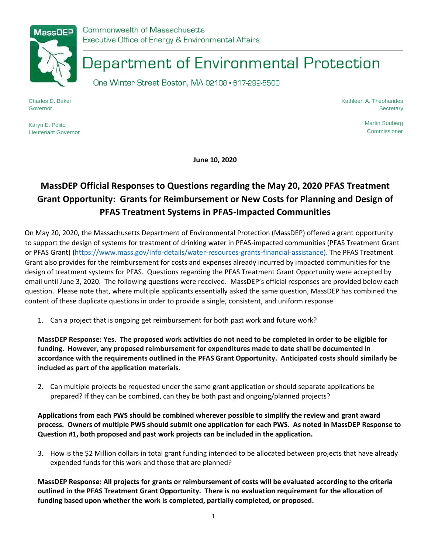

# Department of Environmental Protection

One Winter Street Boston, MA 02108 · 617-292-5500

Charles D. Baker Governor

Kathleen A. Theoharides **Secretary** 

Karyn E. Polito Lieutenant Governor Martin Suuberg **Commissioner** 

**June 10, 2020**

# **MassDEP Official Responses to Questions regarding the May 20, 2020 PFAS Treatment Grant Opportunity: Grants for Reimbursement or New Costs for Planning and Design of PFAS Treatment Systems in PFAS-Impacted Communities**

On May 20, 2020, the Massachusetts Department of Environmental Protection (MassDEP) offered a grant opportunity to support the design of systems for treatment of drinking water in PFAS-impacted communities (PFAS Treatment Grant or PFAS Grant) [\(https://www.mass.gov/info-details/water-resources-grants-financial-assistance\)](https://www.mass.gov/info-details/water-resources-grants-financial-assistance). The PFAS Treatment Grant also provides for the reimbursement for costs and expenses already incurred by impacted communities for the design of treatment systems for PFAS. Questions regarding the PFAS Treatment Grant Opportunity were accepted by email until June 3, 2020. The following questions were received. MassDEP's official responses are provided below each question. Please note that, where multiple applicants essentially asked the same question, MassDEP has combined the content of these duplicate questions in order to provide a single, consistent, and uniform response

1. Can a project that is ongoing get reimbursement for both past work and future work?

**MassDEP Response: Yes. The proposed work activities do not need to be completed in order to be eligible for funding. However, any proposed reimbursement for expenditures made to date shall be documented in accordance with the requirements outlined in the PFAS Grant Opportunity. Anticipated costs should similarly be included as part of the application materials.**

2. Can multiple projects be requested under the same grant application or should separate applications be prepared? If they can be combined, can they be both past and ongoing/planned projects?

**Applications from each PWS should be combined wherever possible to simplify the review and grant award process. Owners of multiple PWS should submit one application for each PWS. As noted in MassDEP Response to Question #1, both proposed and past work projects can be included in the application.**

3. How is the \$2 Million dollars in total grant funding intended to be allocated between projects that have already expended funds for this work and those that are planned?

**MassDEP Response: All projects for grants or reimbursement of costs will be evaluated according to the criteria outlined in the PFAS Treatment Grant Opportunity. There is no evaluation requirement for the allocation of funding based upon whether the work is completed, partially completed, or proposed.**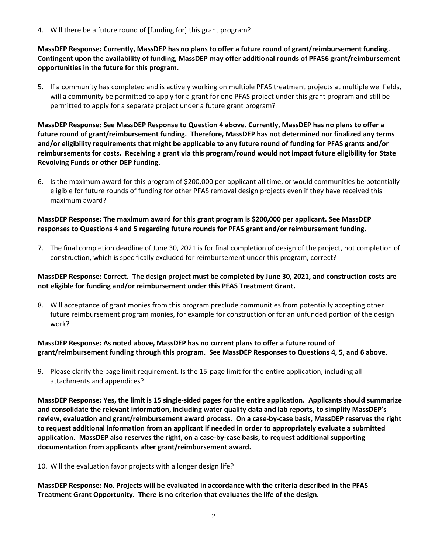4. Will there be a future round of [funding for] this grant program?

**MassDEP Response: Currently, MassDEP has no plans to offer a future round of grant/reimbursement funding. Contingent upon the availability of funding, MassDEP may offer additional rounds of PFAS6 grant/reimbursement opportunities in the future for this program.** 

5. If a community has completed and is actively working on multiple PFAS treatment projects at multiple wellfields, will a community be permitted to apply for a grant for one PFAS project under this grant program and still be permitted to apply for a separate project under a future grant program?

**MassDEP Response: See MassDEP Response to Question 4 above. Currently, MassDEP has no plans to offer a future round of grant/reimbursement funding. Therefore, MassDEP has not determined nor finalized any terms and/or eligibility requirements that might be applicable to any future round of funding for PFAS grants and/or reimbursements for costs. Receiving a grant via this program/round would not impact future eligibility for State Revolving Funds or other DEP funding.**

6. Is the maximum award for this program of \$200,000 per applicant all time, or would communities be potentially eligible for future rounds of funding for other PFAS removal design projects even if they have received this maximum award?

### **MassDEP Response: The maximum award for this grant program is \$200,000 per applicant. See MassDEP responses to Questions 4 and 5 regarding future rounds for PFAS grant and/or reimbursement funding.**

7. The final completion deadline of June 30, 2021 is for final completion of design of the project, not completion of construction, which is specifically excluded for reimbursement under this program, correct?

## **MassDEP Response: Correct. The design project must be completed by June 30, 2021, and construction costs are not eligible for funding and/or reimbursement under this PFAS Treatment Grant.**

8. Will acceptance of grant monies from this program preclude communities from potentially accepting other future reimbursement program monies, for example for construction or for an unfunded portion of the design work?

## **MassDEP Response: As noted above, MassDEP has no current plans to offer a future round of grant/reimbursement funding through this program. See MassDEP Responses to Questions 4, 5, and 6 above.**

9. Please clarify the page limit requirement. Is the 15-page limit for the **entire** application, including all attachments and appendices?

**MassDEP Response: Yes, the limit is 15 single-sided pages for the entire application. Applicants should summarize and consolidate the relevant information, including water quality data and lab reports, to simplify MassDEP's review, evaluation and grant/reimbursement award process. On a case-by-case basis, MassDEP reserves the right to request additional information from an applicant if needed in order to appropriately evaluate a submitted application. MassDEP also reserves the right, on a case-by-case basis, to request additional supporting documentation from applicants after grant/reimbursement award.**

10. Will the evaluation favor projects with a longer design life?

**MassDEP Response: No. Projects will be evaluated in accordance with the criteria described in the PFAS Treatment Grant Opportunity. There is no criterion that evaluates the life of the design.**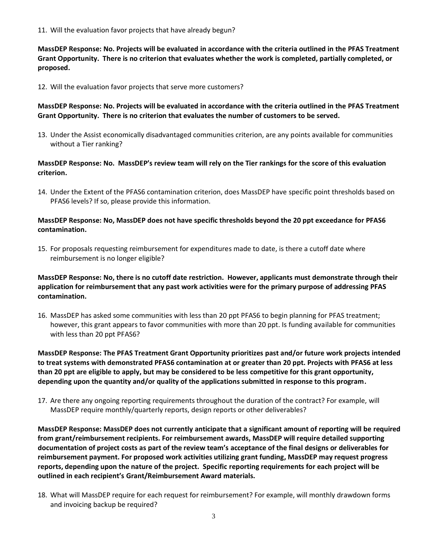11. Will the evaluation favor projects that have already begun?

**MassDEP Response: No. Projects will be evaluated in accordance with the criteria outlined in the PFAS Treatment Grant Opportunity. There is no criterion that evaluates whether the work is completed, partially completed, or proposed.**

12. Will the evaluation favor projects that serve more customers?

#### **MassDEP Response: No. Projects will be evaluated in accordance with the criteria outlined in the PFAS Treatment Grant Opportunity. There is no criterion that evaluates the number of customers to be served.**

13. Under the Assist economically disadvantaged communities criterion, are any points available for communities without a Tier ranking?

### **MassDEP Response: No. MassDEP's review team will rely on the Tier rankings for the score of this evaluation criterion.**

14. Under the Extent of the PFAS6 contamination criterion, does MassDEP have specific point thresholds based on PFAS6 levels? If so, please provide this information.

#### **MassDEP Response: No, MassDEP does not have specific thresholds beyond the 20 ppt exceedance for PFAS6 contamination.**

15. For proposals requesting reimbursement for expenditures made to date, is there a cutoff date where reimbursement is no longer eligible?

## **MassDEP Response: No, there is no cutoff date restriction. However, applicants must demonstrate through their application for reimbursement that any past work activities were for the primary purpose of addressing PFAS contamination.**

16. MassDEP has asked some communities with less than 20 ppt PFAS6 to begin planning for PFAS treatment; however, this grant appears to favor communities with more than 20 ppt. Is funding available for communities with less than 20 ppt PFAS6?

**MassDEP Response: The PFAS Treatment Grant Opportunity prioritizes past and/or future work projects intended to treat systems with demonstrated PFAS6 contamination at or greater than 20 ppt. Projects with PFAS6 at less than 20 ppt are eligible to apply, but may be considered to be less competitive for this grant opportunity, depending upon the quantity and/or quality of the applications submitted in response to this program.** 

17. Are there any ongoing reporting requirements throughout the duration of the contract? For example, will MassDEP require monthly/quarterly reports, design reports or other deliverables?

**MassDEP Response: MassDEP does not currently anticipate that a significant amount of reporting will be required from grant/reimbursement recipients. For reimbursement awards, MassDEP will require detailed supporting documentation of project costs as part of the review team's acceptance of the final designs or deliverables for reimbursement payment. For proposed work activities utilizing grant funding, MassDEP may request progress reports, depending upon the nature of the project. Specific reporting requirements for each project will be outlined in each recipient's Grant/Reimbursement Award materials.** 

18. What will MassDEP require for each request for reimbursement? For example, will monthly drawdown forms and invoicing backup be required?